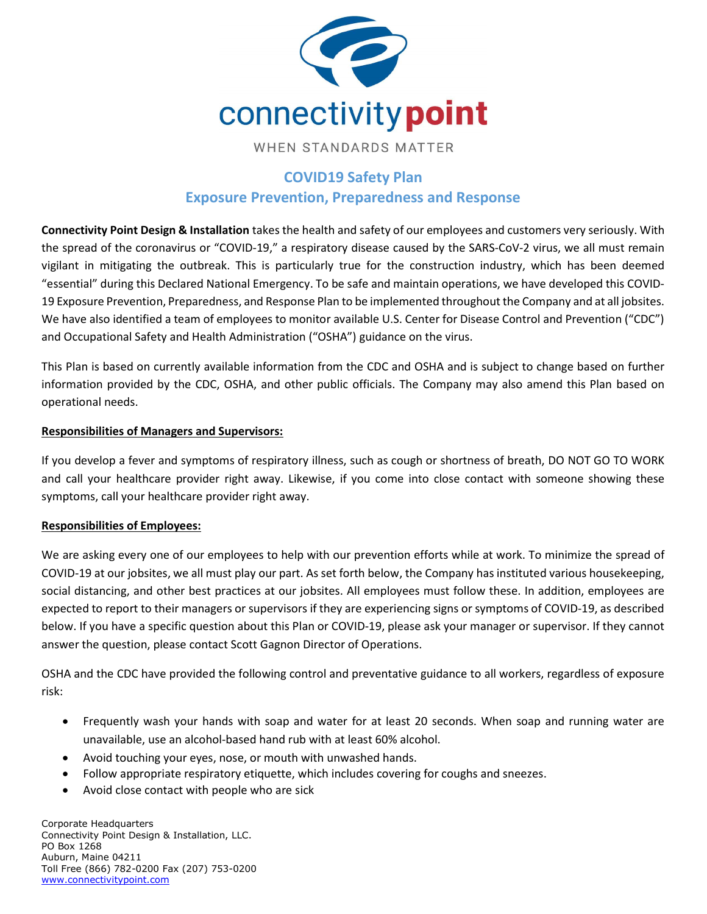

# COVID19 Safety Plan Exposure Prevention, Preparedness and Response

Connectivity Point Design & Installation takes the health and safety of our employees and customers very seriously. With the spread of the coronavirus or "COVID-19," a respiratory disease caused by the SARS-CoV-2 virus, we all must remain vigilant in mitigating the outbreak. This is particularly true for the construction industry, which has been deemed "essential" during this Declared National Emergency. To be safe and maintain operations, we have developed this COVID-19 Exposure Prevention, Preparedness, and Response Plan to be implemented throughout the Company and at all jobsites. We have also identified a team of employees to monitor available U.S. Center for Disease Control and Prevention ("CDC") and Occupational Safety and Health Administration ("OSHA") guidance on the virus.

This Plan is based on currently available information from the CDC and OSHA and is subject to change based on further information provided by the CDC, OSHA, and other public officials. The Company may also amend this Plan based on operational needs.

### Responsibilities of Managers and Supervisors:

If you develop a fever and symptoms of respiratory illness, such as cough or shortness of breath, DO NOT GO TO WORK and call your healthcare provider right away. Likewise, if you come into close contact with someone showing these symptoms, call your healthcare provider right away.

### Responsibilities of Employees:

We are asking every one of our employees to help with our prevention efforts while at work. To minimize the spread of COVID-19 at our jobsites, we all must play our part. As set forth below, the Company has instituted various housekeeping, social distancing, and other best practices at our jobsites. All employees must follow these. In addition, employees are expected to report to their managers or supervisors if they are experiencing signs or symptoms of COVID-19, as described below. If you have a specific question about this Plan or COVID-19, please ask your manager or supervisor. If they cannot answer the question, please contact Scott Gagnon Director of Operations.

OSHA and the CDC have provided the following control and preventative guidance to all workers, regardless of exposure risk:

- Frequently wash your hands with soap and water for at least 20 seconds. When soap and running water are unavailable, use an alcohol-based hand rub with at least 60% alcohol.
- Avoid touching your eyes, nose, or mouth with unwashed hands.
- Follow appropriate respiratory etiquette, which includes covering for coughs and sneezes.
- Avoid close contact with people who are sick

Corporate Headquarters Connectivity Point Design & Installation, LLC. PO Box 1268 Auburn, Maine 04211 Toll Free (866) 782-0200 Fax (207) 753-0200 www.connectivitypoint.com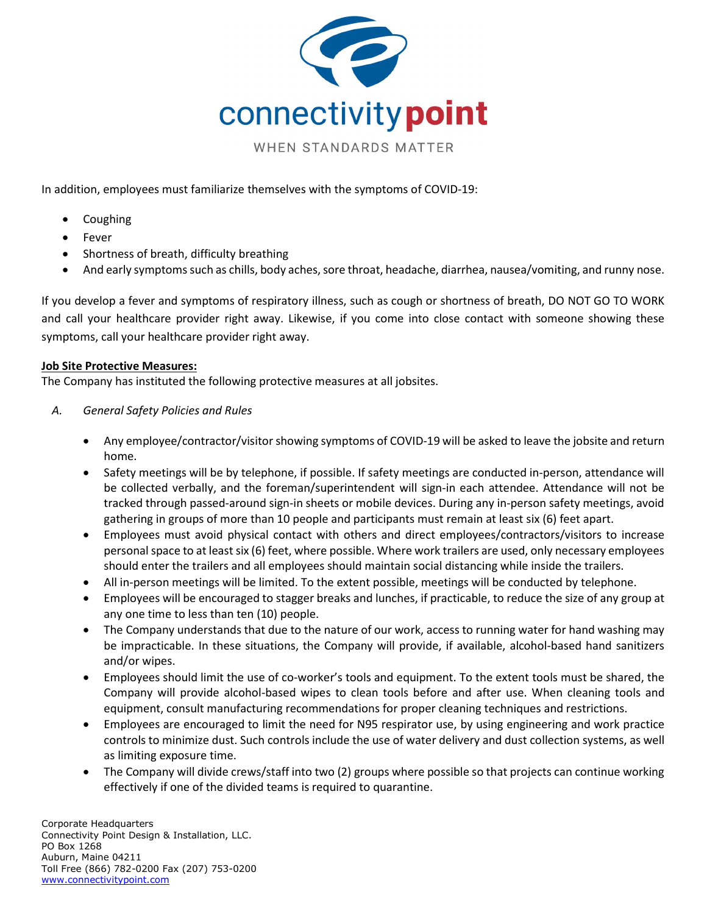

In addition, employees must familiarize themselves with the symptoms of COVID-19:

- Coughing
- Fever
- Shortness of breath, difficulty breathing
- And early symptoms such as chills, body aches, sore throat, headache, diarrhea, nausea/vomiting, and runny nose.

If you develop a fever and symptoms of respiratory illness, such as cough or shortness of breath, DO NOT GO TO WORK and call your healthcare provider right away. Likewise, if you come into close contact with someone showing these symptoms, call your healthcare provider right away.

#### Job Site Protective Measures:

The Company has instituted the following protective measures at all jobsites.

- A. General Safety Policies and Rules
	- Any employee/contractor/visitor showing symptoms of COVID-19 will be asked to leave the jobsite and return home.
	- Safety meetings will be by telephone, if possible. If safety meetings are conducted in-person, attendance will be collected verbally, and the foreman/superintendent will sign-in each attendee. Attendance will not be tracked through passed-around sign-in sheets or mobile devices. During any in-person safety meetings, avoid gathering in groups of more than 10 people and participants must remain at least six (6) feet apart.
	- Employees must avoid physical contact with others and direct employees/contractors/visitors to increase personal space to at least six (6) feet, where possible. Where work trailers are used, only necessary employees should enter the trailers and all employees should maintain social distancing while inside the trailers.
	- All in-person meetings will be limited. To the extent possible, meetings will be conducted by telephone.
	- Employees will be encouraged to stagger breaks and lunches, if practicable, to reduce the size of any group at any one time to less than ten (10) people.
	- The Company understands that due to the nature of our work, access to running water for hand washing may be impracticable. In these situations, the Company will provide, if available, alcohol-based hand sanitizers and/or wipes.
	- Employees should limit the use of co-worker's tools and equipment. To the extent tools must be shared, the Company will provide alcohol-based wipes to clean tools before and after use. When cleaning tools and equipment, consult manufacturing recommendations for proper cleaning techniques and restrictions.
	- Employees are encouraged to limit the need for N95 respirator use, by using engineering and work practice controls to minimize dust. Such controls include the use of water delivery and dust collection systems, as well as limiting exposure time.
	- The Company will divide crews/staff into two (2) groups where possible so that projects can continue working effectively if one of the divided teams is required to quarantine.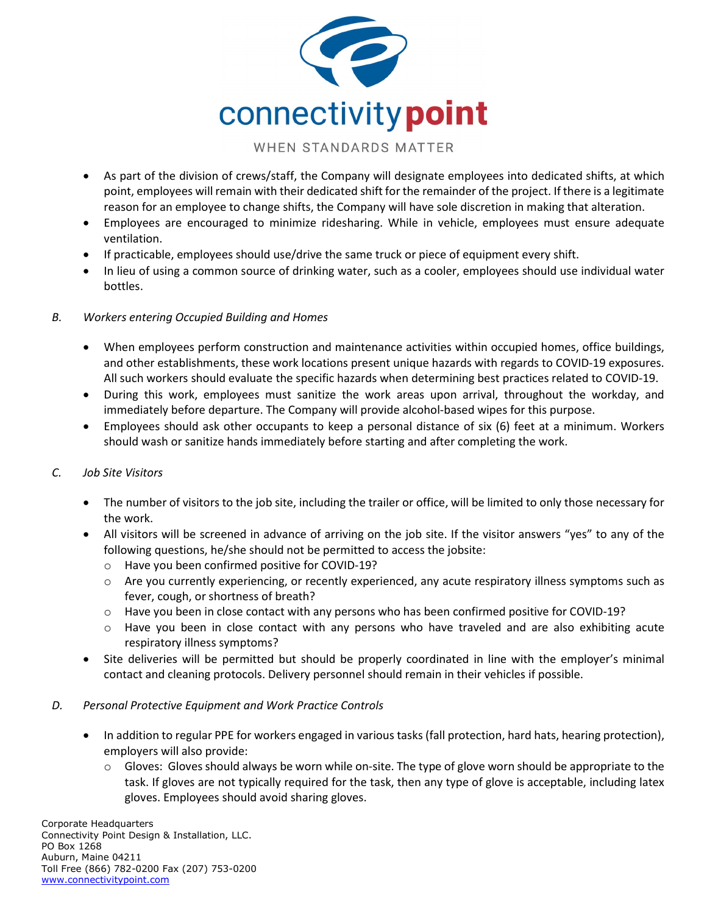

- As part of the division of crews/staff, the Company will designate employees into dedicated shifts, at which point, employees will remain with their dedicated shift for the remainder of the project. If there is a legitimate reason for an employee to change shifts, the Company will have sole discretion in making that alteration.
- Employees are encouraged to minimize ridesharing. While in vehicle, employees must ensure adequate ventilation.
- If practicable, employees should use/drive the same truck or piece of equipment every shift.
- In lieu of using a common source of drinking water, such as a cooler, employees should use individual water bottles.

### B. Workers entering Occupied Building and Homes

- When employees perform construction and maintenance activities within occupied homes, office buildings, and other establishments, these work locations present unique hazards with regards to COVID-19 exposures. All such workers should evaluate the specific hazards when determining best practices related to COVID-19.
- During this work, employees must sanitize the work areas upon arrival, throughout the workday, and immediately before departure. The Company will provide alcohol-based wipes for this purpose.
- Employees should ask other occupants to keep a personal distance of six (6) feet at a minimum. Workers should wash or sanitize hands immediately before starting and after completing the work.

### C. Job Site Visitors

- The number of visitors to the job site, including the trailer or office, will be limited to only those necessary for the work.
- All visitors will be screened in advance of arriving on the job site. If the visitor answers "yes" to any of the following questions, he/she should not be permitted to access the jobsite:
	- o Have you been confirmed positive for COVID-19?
	- o Are you currently experiencing, or recently experienced, any acute respiratory illness symptoms such as fever, cough, or shortness of breath?
	- o Have you been in close contact with any persons who has been confirmed positive for COVID-19?
	- o Have you been in close contact with any persons who have traveled and are also exhibiting acute respiratory illness symptoms?
- Site deliveries will be permitted but should be properly coordinated in line with the employer's minimal contact and cleaning protocols. Delivery personnel should remain in their vehicles if possible.

#### D. Personal Protective Equipment and Work Practice Controls

- In addition to regular PPE for workers engaged in various tasks (fall protection, hard hats, hearing protection), employers will also provide:
	- $\circ$  Gloves: Gloves should always be worn while on-site. The type of glove worn should be appropriate to the task. If gloves are not typically required for the task, then any type of glove is acceptable, including latex gloves. Employees should avoid sharing gloves.

Corporate Headquarters Connectivity Point Design & Installation, LLC. PO Box 1268 Auburn, Maine 04211 Toll Free (866) 782-0200 Fax (207) 753-0200 www.connectivitypoint.com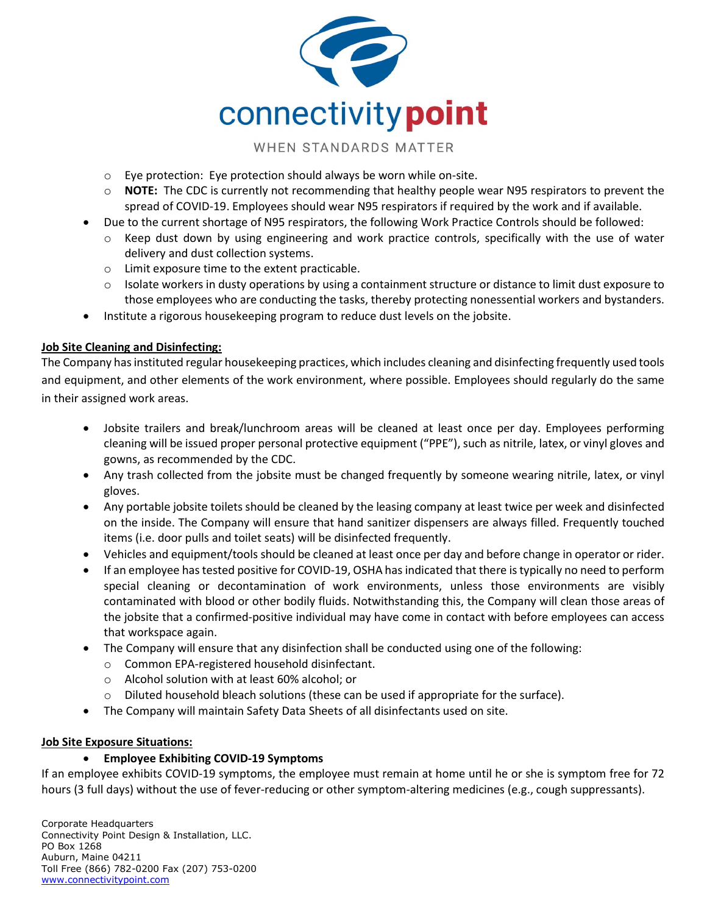

- o Eye protection: Eye protection should always be worn while on-site.
- $\circ$  NOTE: The CDC is currently not recommending that healthy people wear N95 respirators to prevent the spread of COVID-19. Employees should wear N95 respirators if required by the work and if available.
- Due to the current shortage of N95 respirators, the following Work Practice Controls should be followed:
- $\circ$  Keep dust down by using engineering and work practice controls, specifically with the use of water delivery and dust collection systems.
- o Limit exposure time to the extent practicable.
- $\circ$  Isolate workers in dusty operations by using a containment structure or distance to limit dust exposure to those employees who are conducting the tasks, thereby protecting nonessential workers and bystanders.
- Institute a rigorous housekeeping program to reduce dust levels on the jobsite.

### Job Site Cleaning and Disinfecting:

The Company has instituted regular housekeeping practices, which includes cleaning and disinfecting frequently used tools and equipment, and other elements of the work environment, where possible. Employees should regularly do the same in their assigned work areas.

- Jobsite trailers and break/lunchroom areas will be cleaned at least once per day. Employees performing cleaning will be issued proper personal protective equipment ("PPE"), such as nitrile, latex, or vinyl gloves and gowns, as recommended by the CDC.
- Any trash collected from the jobsite must be changed frequently by someone wearing nitrile, latex, or vinyl gloves.
- Any portable jobsite toilets should be cleaned by the leasing company at least twice per week and disinfected on the inside. The Company will ensure that hand sanitizer dispensers are always filled. Frequently touched items (i.e. door pulls and toilet seats) will be disinfected frequently.
- Vehicles and equipment/tools should be cleaned at least once per day and before change in operator or rider.
- If an employee has tested positive for COVID-19, OSHA has indicated that there is typically no need to perform special cleaning or decontamination of work environments, unless those environments are visibly contaminated with blood or other bodily fluids. Notwithstanding this, the Company will clean those areas of the jobsite that a confirmed-positive individual may have come in contact with before employees can access that workspace again.
- The Company will ensure that any disinfection shall be conducted using one of the following:
	- o Common EPA-registered household disinfectant.
	- o Alcohol solution with at least 60% alcohol; or
	- $\circ$  Diluted household bleach solutions (these can be used if appropriate for the surface).
- The Company will maintain Safety Data Sheets of all disinfectants used on site.

### Job Site Exposure Situations:

### Employee Exhibiting COVID-19 Symptoms

If an employee exhibits COVID-19 symptoms, the employee must remain at home until he or she is symptom free for 72 hours (3 full days) without the use of fever-reducing or other symptom-altering medicines (e.g., cough suppressants).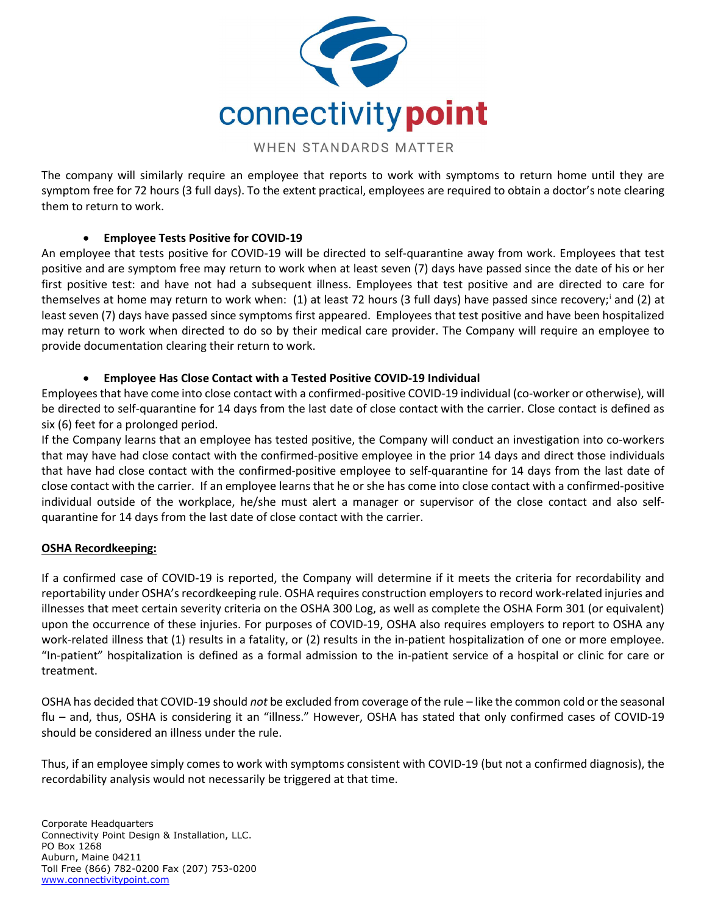

The company will similarly require an employee that reports to work with symptoms to return home until they are symptom free for 72 hours (3 full days). To the extent practical, employees are required to obtain a doctor's note clearing them to return to work.

### Employee Tests Positive for COVID-19

An employee that tests positive for COVID-19 will be directed to self-quarantine away from work. Employees that test positive and are symptom free may return to work when at least seven (7) days have passed since the date of his or her first positive test: and have not had a subsequent illness. Employees that test positive and are directed to care for themselves at home may return to work when: (1) at least 72 hours (3 full days) have passed since recovery;<sup>i</sup> and (2) at least seven (7) days have passed since symptoms first appeared. Employees that test positive and have been hospitalized may return to work when directed to do so by their medical care provider. The Company will require an employee to provide documentation clearing their return to work.

### Employee Has Close Contact with a Tested Positive COVID-19 Individual

Employees that have come into close contact with a confirmed-positive COVID-19 individual (co-worker or otherwise), will be directed to self-quarantine for 14 days from the last date of close contact with the carrier. Close contact is defined as six (6) feet for a prolonged period.

If the Company learns that an employee has tested positive, the Company will conduct an investigation into co-workers that may have had close contact with the confirmed-positive employee in the prior 14 days and direct those individuals that have had close contact with the confirmed-positive employee to self-quarantine for 14 days from the last date of close contact with the carrier. If an employee learns that he or she has come into close contact with a confirmed-positive individual outside of the workplace, he/she must alert a manager or supervisor of the close contact and also selfquarantine for 14 days from the last date of close contact with the carrier.

### OSHA Recordkeeping:

If a confirmed case of COVID-19 is reported, the Company will determine if it meets the criteria for recordability and reportability under OSHA's recordkeeping rule. OSHA requires construction employers to record work-related injuries and illnesses that meet certain severity criteria on the OSHA 300 Log, as well as complete the OSHA Form 301 (or equivalent) upon the occurrence of these injuries. For purposes of COVID-19, OSHA also requires employers to report to OSHA any work-related illness that (1) results in a fatality, or (2) results in the in-patient hospitalization of one or more employee. "In-patient" hospitalization is defined as a formal admission to the in-patient service of a hospital or clinic for care or treatment.

OSHA has decided that COVID-19 should not be excluded from coverage of the rule – like the common cold or the seasonal flu – and, thus, OSHA is considering it an "illness." However, OSHA has stated that only confirmed cases of COVID-19 should be considered an illness under the rule.

Thus, if an employee simply comes to work with symptoms consistent with COVID-19 (but not a confirmed diagnosis), the recordability analysis would not necessarily be triggered at that time.